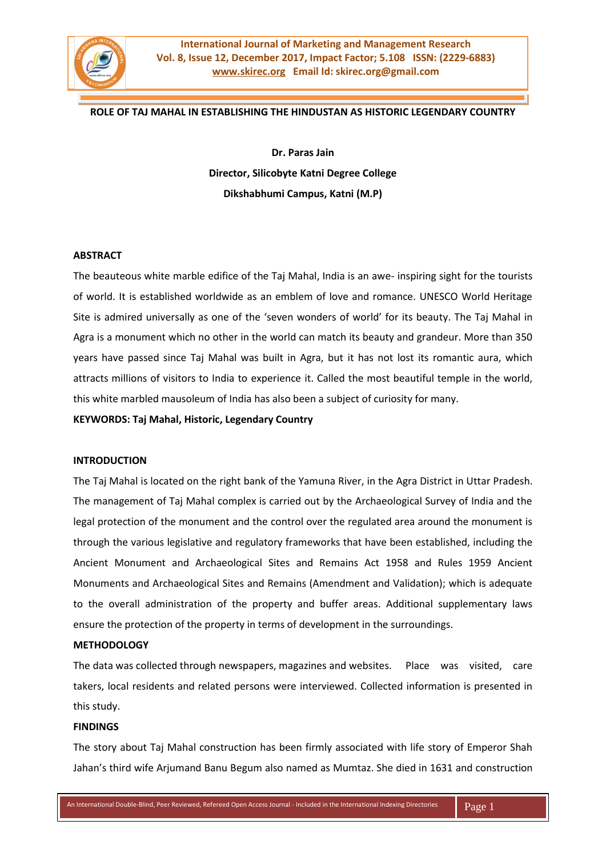

### **ROLE OF TAJ MAHAL IN ESTABLISHING THE HINDUSTAN AS HISTORIC LEGENDARY COUNTRY**

**Dr. Paras Jain Director, Silicobyte Katni Degree College Dikshabhumi Campus, Katni (M.P)** 

#### **ABSTRACT**

The beauteous white marble edifice of the Taj Mahal, India is an awe- inspiring sight for the tourists of world. It is established worldwide as an emblem of love and romance. UNESCO World Heritage Site is admired universally as one of the 'seven wonders of world' for its beauty. The Taj Mahal in Agra is a monument which no other in the world can match its beauty and grandeur. More than 350 years have passed since Taj Mahal was built in Agra, but it has not lost its romantic aura, which attracts millions of visitors to India to experience it. Called the most beautiful temple in the world, this white marbled mausoleum of India has also been a subject of curiosity for many.

**KEYWORDS: Taj Mahal, Historic, Legendary Country** 

#### **INTRODUCTION**

The Taj Mahal is located on the right bank of the Yamuna River, in the Agra District in Uttar Pradesh. The management of Taj Mahal complex is carried out by the Archaeological Survey of India and the legal protection of the monument and the control over the regulated area around the monument is through the various legislative and regulatory frameworks that have been established, including the Ancient Monument and Archaeological Sites and Remains Act 1958 and Rules 1959 Ancient Monuments and Archaeological Sites and Remains (Amendment and Validation); which is adequate to the overall administration of the property and buffer areas. Additional supplementary laws ensure the protection of the property in terms of development in the surroundings.

#### **METHODOLOGY**

The data was collected through newspapers, magazines and websites. Place was visited, care takers, local residents and related persons were interviewed. Collected information is presented in this study.

#### **FINDINGS**

The story about Taj Mahal construction has been firmly associated with life story of Emperor Shah Jahan's third wife Arjumand Banu Begum also named as Mumtaz. She died in 1631 and construction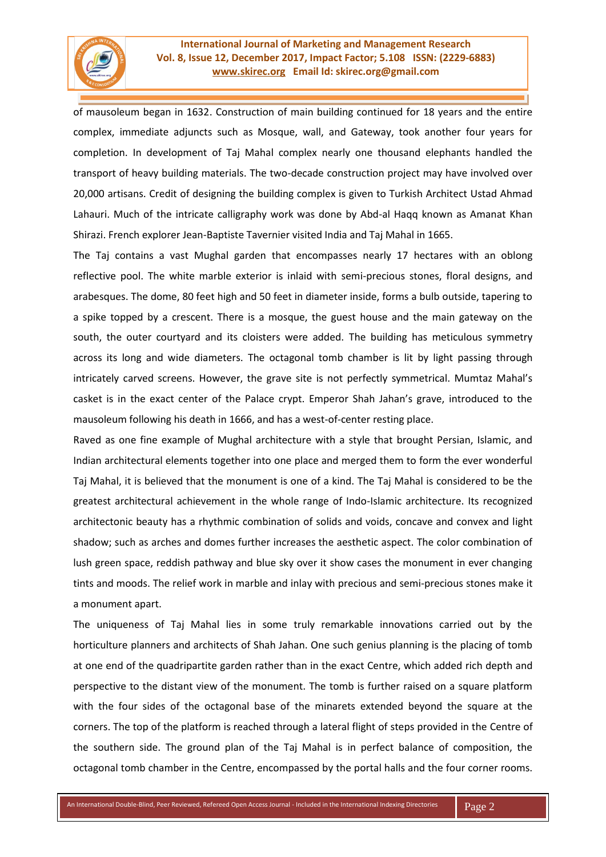

of mausoleum began in 1632. Construction of main building continued for 18 years and the entire complex, immediate adjuncts such as Mosque, wall, and Gateway, took another four years for completion. In development of Taj Mahal complex nearly one thousand elephants handled the transport of heavy building materials. The two-decade construction project may have involved over 20,000 artisans. Credit of designing the building complex is given to Turkish Architect Ustad Ahmad Lahauri. Much of the intricate calligraphy work was done by Abd-al Haqq known as Amanat Khan Shirazi. French explorer Jean-Baptiste Tavernier visited India and Taj Mahal in 1665.

The Taj contains a vast Mughal garden that encompasses nearly 17 hectares with an oblong reflective pool. The white marble exterior is inlaid with semi-precious stones, floral designs, and arabesques. The dome, 80 feet high and 50 feet in diameter inside, forms a bulb outside, tapering to a spike topped by a crescent. There is a mosque, the guest house and the main gateway on the south, the outer courtyard and its cloisters were added. The building has meticulous symmetry across its long and wide diameters. The octagonal tomb chamber is lit by light passing through intricately carved screens. However, the grave site is not perfectly symmetrical. Mumtaz Mahal's casket is in the exact center of the Palace crypt. Emperor Shah Jahan's grave, introduced to the mausoleum following his death in 1666, and has a west-of-center resting place.

Raved as one fine example of Mughal architecture with a style that brought Persian, Islamic, and Indian architectural elements together into one place and merged them to form the ever wonderful Taj Mahal, it is believed that the monument is one of a kind. The Taj Mahal is considered to be the greatest architectural achievement in the whole range of Indo-Islamic architecture. Its recognized architectonic beauty has a rhythmic combination of solids and voids, concave and convex and light shadow; such as arches and domes further increases the aesthetic aspect. The color combination of lush green space, reddish pathway and blue sky over it show cases the monument in ever changing tints and moods. The relief work in marble and inlay with precious and semi-precious stones make it a monument apart.

The uniqueness of Taj Mahal lies in some truly remarkable innovations carried out by the horticulture planners and architects of Shah Jahan. One such genius planning is the placing of tomb at one end of the quadripartite garden rather than in the exact Centre, which added rich depth and perspective to the distant view of the monument. The tomb is further raised on a square platform with the four sides of the octagonal base of the minarets extended beyond the square at the corners. The top of the platform is reached through a lateral flight of steps provided in the Centre of the southern side. The ground plan of the Taj Mahal is in perfect balance of composition, the octagonal tomb chamber in the Centre, encompassed by the portal halls and the four corner rooms.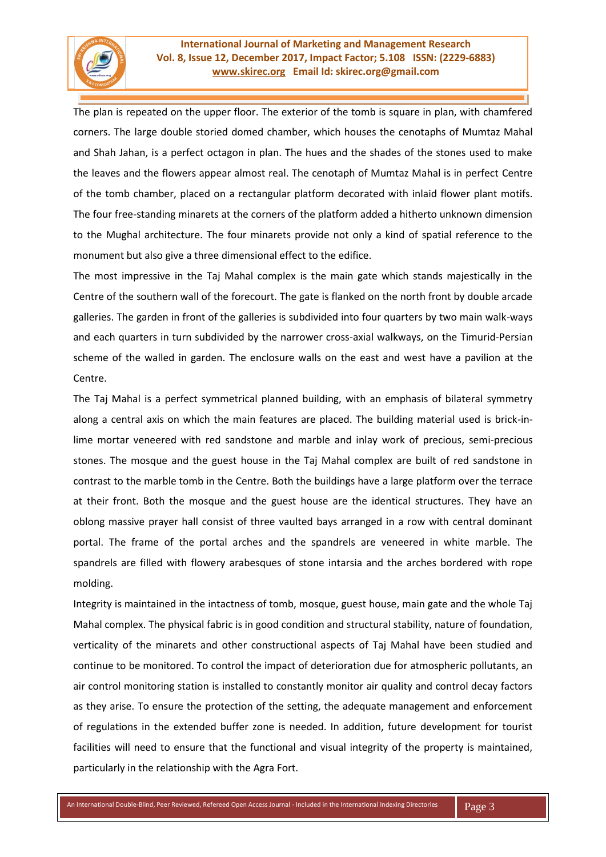The plan is repeated on the upper floor. The exterior of the tomb is square in plan, with chamfered corners. The large double storied domed chamber, which houses the cenotaphs of Mumtaz Mahal and Shah Jahan, is a perfect octagon in plan. The hues and the shades of the stones used to make the leaves and the flowers appear almost real. The cenotaph of Mumtaz Mahal is in perfect Centre of the tomb chamber, placed on a rectangular platform decorated with inlaid flower plant motifs. The four free-standing minarets at the corners of the platform added a hitherto unknown dimension to the Mughal architecture. The four minarets provide not only a kind of spatial reference to the monument but also give a three dimensional effect to the edifice.

The most impressive in the Taj Mahal complex is the main gate which stands majestically in the Centre of the southern wall of the forecourt. The gate is flanked on the north front by double arcade galleries. The garden in front of the galleries is subdivided into four quarters by two main walk-ways and each quarters in turn subdivided by the narrower cross-axial walkways, on the Timurid-Persian scheme of the walled in garden. The enclosure walls on the east and west have a pavilion at the Centre.

The Taj Mahal is a perfect symmetrical planned building, with an emphasis of bilateral symmetry along a central axis on which the main features are placed. The building material used is brick-inlime mortar veneered with red sandstone and marble and inlay work of precious, semi-precious stones. The mosque and the guest house in the Taj Mahal complex are built of red sandstone in contrast to the marble tomb in the Centre. Both the buildings have a large platform over the terrace at their front. Both the mosque and the guest house are the identical structures. They have an oblong massive prayer hall consist of three vaulted bays arranged in a row with central dominant portal. The frame of the portal arches and the spandrels are veneered in white marble. The spandrels are filled with flowery arabesques of stone intarsia and the arches bordered with rope molding.

Integrity is maintained in the intactness of tomb, mosque, guest house, main gate and the whole Taj Mahal complex. The physical fabric is in good condition and structural stability, nature of foundation, verticality of the minarets and other constructional aspects of Taj Mahal have been studied and continue to be monitored. To control the impact of deterioration due for atmospheric pollutants, an air control monitoring station is installed to constantly monitor air quality and control decay factors as they arise. To ensure the protection of the setting, the adequate management and enforcement of regulations in the extended buffer zone is needed. In addition, future development for tourist facilities will need to ensure that the functional and visual integrity of the property is maintained, particularly in the relationship with the Agra Fort.